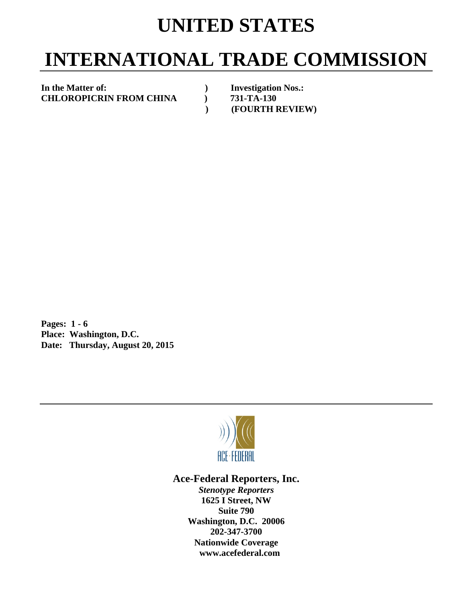## **UNITED STATES**

# **INTERNATIONAL TRADE COMMISSION**

In the Matter of: **and in the Matter of: Investigation Nos.: CHLOROPICRIN FROM CHINA ) 731-TA-130** 

 **) (FOURTH REVIEW)** 

**Pages: 1 - 6 Place: Washington, D.C. Date: Thursday, August 20, 2015** 



## **Ace-Federal Reporters, Inc.**

*Stenotype Reporters*  **1625 I Street, NW Suite 790 Washington, D.C. 20006 202-347-3700 Nationwide Coverage www.acefederal.com**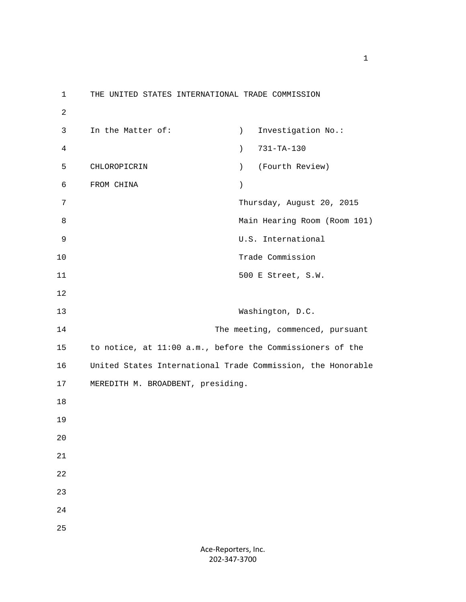1 THE UNITED STATES INTERNATIONAL TRADE COMMISSION 2 3 In the Matter of: (a) Investigation No.: 4 ) 731-TA-130 5 CHLOROPICRIN ) (Fourth Review) 6 FROM CHINA ) 7 Thursday, August 20, 2015 8 Main Hearing Room (Room 101) 9 U.S. International 10 Trade Commission 11 500 E Street, S.W. 12 13 Washington, D.C. 14 The meeting, commenced, pursuant 15 to notice, at 11:00 a.m., before the Commissioners of the 16 United States International Trade Commission, the Honorable 17 MEREDITH M. BROADBENT, presiding. 18 19 20 21 22 23 24 25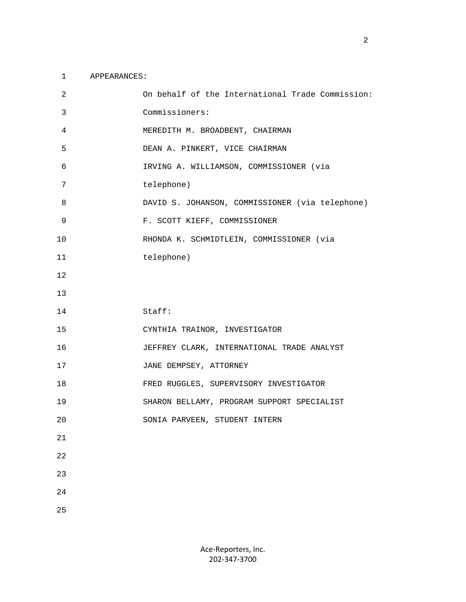#### 1 APPEARANCES:

| 2  | On behalf of the International Trade Commission: |
|----|--------------------------------------------------|
| 3  | Commissioners:                                   |
| 4  | MEREDITH M. BROADBENT, CHAIRMAN                  |
| 5  | DEAN A. PINKERT, VICE CHAIRMAN                   |
| 6  | IRVING A. WILLIAMSON, COMMISSIONER (via          |
| 7  | telephone)                                       |
| 8  | DAVID S. JOHANSON, COMMISSIONER (via telephone)  |
| 9  | F. SCOTT KIEFF, COMMISSIONER                     |
| 10 | RHONDA K. SCHMIDTLEIN, COMMISSIONER (via         |
| 11 | telephone)                                       |
| 12 |                                                  |
| 13 |                                                  |
|    |                                                  |
| 14 | Staff:                                           |
| 15 | CYNTHIA TRAINOR, INVESTIGATOR                    |
| 16 | JEFFREY CLARK, INTERNATIONAL TRADE ANALYST       |
| 17 | JANE DEMPSEY, ATTORNEY                           |
| 18 | FRED RUGGLES, SUPERVISORY INVESTIGATOR           |
| 19 | SHARON BELLAMY, PROGRAM SUPPORT SPECIALIST       |
| 20 | SONIA PARVEEN, STUDENT INTERN                    |
| 21 |                                                  |
| 22 |                                                  |
| 23 |                                                  |
| 24 |                                                  |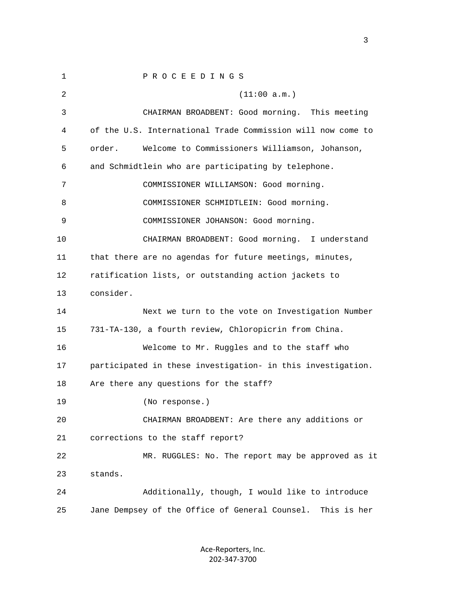1 P R O C E E D I N G S  $2$  (11:00 a.m.) 3 CHAIRMAN BROADBENT: Good morning. This meeting 4 of the U.S. International Trade Commission will now come to 5 order. Welcome to Commissioners Williamson, Johanson, 6 and Schmidtlein who are participating by telephone. 7 COMMISSIONER WILLIAMSON: Good morning. 8 COMMISSIONER SCHMIDTLEIN: Good morning. 9 COMMISSIONER JOHANSON: Good morning. 10 CHAIRMAN BROADBENT: Good morning. I understand 11 that there are no agendas for future meetings, minutes, 12 ratification lists, or outstanding action jackets to 13 consider. 14 Next we turn to the vote on Investigation Number 15 731-TA-130, a fourth review, Chloropicrin from China. 16 Welcome to Mr. Ruggles and to the staff who 17 participated in these investigation- in this investigation. 18 Are there any questions for the staff? 19 (No response.) 20 CHAIRMAN BROADBENT: Are there any additions or 21 corrections to the staff report? 22 MR. RUGGLES: No. The report may be approved as it 23 stands. 24 Additionally, though, I would like to introduce 25 Jane Dempsey of the Office of General Counsel. This is her

> Ace‐Reporters, Inc. 202‐347‐3700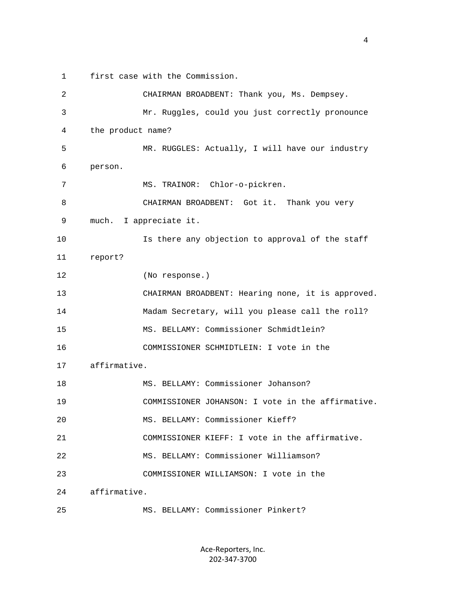1 first case with the Commission.

 2 CHAIRMAN BROADBENT: Thank you, Ms. Dempsey. 3 Mr. Ruggles, could you just correctly pronounce 4 the product name? 5 MR. RUGGLES: Actually, I will have our industry 6 person. 7 MS. TRAINOR: Chlor-o-pickren. 8 CHAIRMAN BROADBENT: Got it. Thank you very 9 much. I appreciate it. 10 Is there any objection to approval of the staff 11 report? 12 (No response.) 13 CHAIRMAN BROADBENT: Hearing none, it is approved. 14 Madam Secretary, will you please call the roll? 15 MS. BELLAMY: Commissioner Schmidtlein? 16 COMMISSIONER SCHMIDTLEIN: I vote in the 17 affirmative. 18 MS. BELLAMY: Commissioner Johanson? 19 COMMISSIONER JOHANSON: I vote in the affirmative. 20 MS. BELLAMY: Commissioner Kieff? 21 COMMISSIONER KIEFF: I vote in the affirmative. 22 MS. BELLAMY: Commissioner Williamson? 23 COMMISSIONER WILLIAMSON: I vote in the 24 affirmative. 25 MS. BELLAMY: Commissioner Pinkert?

> Ace‐Reporters, Inc. 202‐347‐3700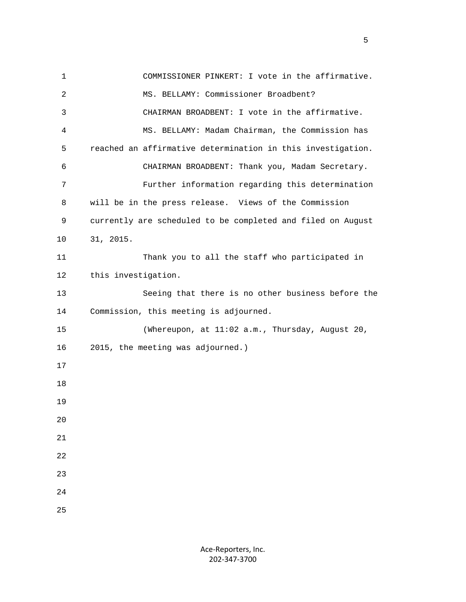1 COMMISSIONER PINKERT: I vote in the affirmative. 2 MS. BELLAMY: Commissioner Broadbent? 3 CHAIRMAN BROADBENT: I vote in the affirmative. 4 MS. BELLAMY: Madam Chairman, the Commission has 5 reached an affirmative determination in this investigation. 6 CHAIRMAN BROADBENT: Thank you, Madam Secretary. 7 Further information regarding this determination 8 will be in the press release. Views of the Commission 9 currently are scheduled to be completed and filed on August 10 31, 2015. 11 Thank you to all the staff who participated in 12 this investigation. 13 Seeing that there is no other business before the 14 Commission, this meeting is adjourned. 15 (Whereupon, at 11:02 a.m., Thursday, August 20, 16 2015, the meeting was adjourned.) 17 18 19  $2.0$  21 22 23 24 25

 $\sim$  5